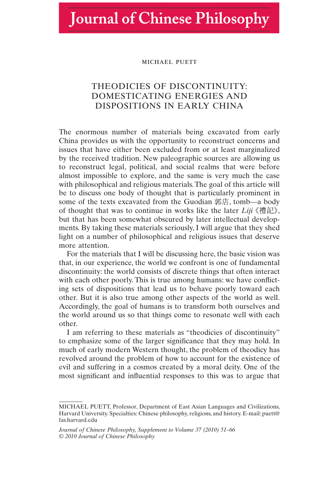**Journal of Chinese Philosophy** 

#### michael puett

# THEODICIES OF DISCONTINUITY: DOMESTICATING ENERGIES AND DISPOSITIONS IN EARLY CHINA

The enormous number of materials being excavated from early China provides us with the opportunity to reconstruct concerns and issues that have either been excluded from or at least marginalized by the received tradition. New paleographic sources are allowing us to reconstruct legal, political, and social realms that were before almost impossible to explore, and the same is very much the case with philosophical and religious materials. The goal of this article will be to discuss one body of thought that is particularly prominent in some of the texts excavated from the Guodian  $\frac{m}{n}$ , tomb—a body of thought that was to continue in works like the later  $Lii$  (禮記), but that has been somewhat obscured by later intellectual developments. By taking these materials seriously, I will argue that they shed light on a number of philosophical and religious issues that deserve more attention.

For the materials that I will be discussing here, the basic vision was that, in our experience, the world we confront is one of fundamental discontinuity: the world consists of discrete things that often interact with each other poorly. This is true among humans: we have conflicting sets of dispositions that lead us to behave poorly toward each other. But it is also true among other aspects of the world as well. Accordingly, the goal of humans is to transform both ourselves and the world around us so that things come to resonate well with each other.

I am referring to these materials as "theodicies of discontinuity" to emphasize some of the larger significance that they may hold. In much of early modern Western thought, the problem of theodicy has revolved around the problem of how to account for the existence of evil and suffering in a cosmos created by a moral deity. One of the most significant and influential responses to this was to argue that

MICHAEL PUETT, Professor, Department of East Asian Languages and Civilizations, Harvard University. Specialties: Chinese philosophy, religions, and history. E-mail: puett@ fas.harvard.edu

*Journal of Chinese Philosophy, Supplement to Volume 37 (2010) 51–66 © 2010 Journal of Chinese Philosophy*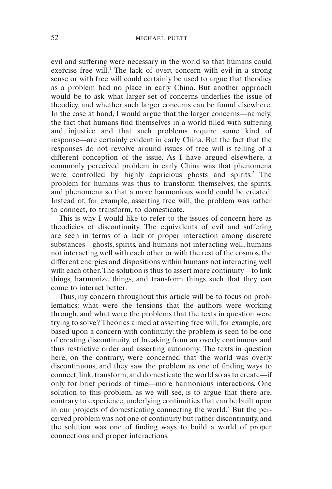evil and suffering were necessary in the world so that humans could exercise free will.<sup>1</sup> The lack of overt concern with evil in a strong sense or with free will could certainly be used to argue that theodicy as a problem had no place in early China. But another approach would be to ask what larger set of concerns underlies the issue of theodicy, and whether such larger concerns can be found elsewhere. In the case at hand, I would argue that the larger concerns—namely, the fact that humans find themselves in a world filled with suffering and injustice and that such problems require some kind of response—are certainly evident in early China. But the fact that the responses do not revolve around issues of free will is telling of a different conception of the issue. As I have argued elsewhere, a commonly perceived problem in early China was that phenomena were controlled by highly capricious ghosts and spirits.<sup>2</sup> The problem for humans was thus to transform themselves, the spirits, and phenomena so that a more harmonious world could be created. Instead of, for example, asserting free will, the problem was rather to connect, to transform, to domesticate.

This is why I would like to refer to the issues of concern here as theodicies of discontinuity. The equivalents of evil and suffering are seen in terms of a lack of proper interaction among discrete substances—ghosts, spirits, and humans not interacting well, humans not interacting well with each other or with the rest of the cosmos, the different energies and dispositions within humans not interacting well with each other.The solution is thus to assert more continuity—to link things, harmonize things, and transform things such that they can come to interact better.

Thus, my concern throughout this article will be to focus on problematics: what were the tensions that the authors were working through, and what were the problems that the texts in question were trying to solve? Theories aimed at asserting free will, for example, are based upon a concern with continuity: the problem is seen to be one of creating discontinuity, of breaking from an overly continuous and thus restrictive order and asserting autonomy. The texts in question here, on the contrary, were concerned that the world was overly discontinuous, and they saw the problem as one of finding ways to connect, link, transform, and domesticate the world so as to create—if only for brief periods of time—more harmonious interactions. One solution to this problem, as we will see, is to argue that there are, contrary to experience, underlying continuities that can be built upon in our projects of domesticating connecting the world.<sup>3</sup> But the perceived problem was not one of continuity but rather discontinuity, and the solution was one of finding ways to build a world of proper connections and proper interactions.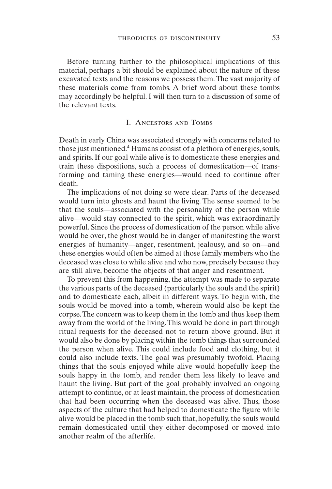Before turning further to the philosophical implications of this material, perhaps a bit should be explained about the nature of these excavated texts and the reasons we possess them.The vast majority of these materials come from tombs. A brief word about these tombs may accordingly be helpful. I will then turn to a discussion of some of the relevant texts.

# I. Ancestors and Tombs

Death in early China was associated strongly with concerns related to those just mentioned.4 Humans consist of a plethora of energies, souls, and spirits. If our goal while alive is to domesticate these energies and train these dispositions, such a process of domestication—of transforming and taming these energies—would need to continue after death.

The implications of not doing so were clear. Parts of the deceased would turn into ghosts and haunt the living. The sense seemed to be that the souls—associated with the personality of the person while alive—would stay connected to the spirit, which was extraordinarily powerful. Since the process of domestication of the person while alive would be over, the ghost would be in danger of manifesting the worst energies of humanity—anger, resentment, jealousy, and so on—and these energies would often be aimed at those family members who the deceased was close to while alive and who now, precisely because they are still alive, become the objects of that anger and resentment.

To prevent this from happening, the attempt was made to separate the various parts of the deceased (particularly the souls and the spirit) and to domesticate each, albeit in different ways. To begin with, the souls would be moved into a tomb, wherein would also be kept the corpse.The concern was to keep them in the tomb and thus keep them away from the world of the living. This would be done in part through ritual requests for the deceased not to return above ground. But it would also be done by placing within the tomb things that surrounded the person when alive. This could include food and clothing, but it could also include texts. The goal was presumably twofold. Placing things that the souls enjoyed while alive would hopefully keep the souls happy in the tomb, and render them less likely to leave and haunt the living. But part of the goal probably involved an ongoing attempt to continue, or at least maintain, the process of domestication that had been occurring when the deceased was alive. Thus, those aspects of the culture that had helped to domesticate the figure while alive would be placed in the tomb such that, hopefully, the souls would remain domesticated until they either decomposed or moved into another realm of the afterlife.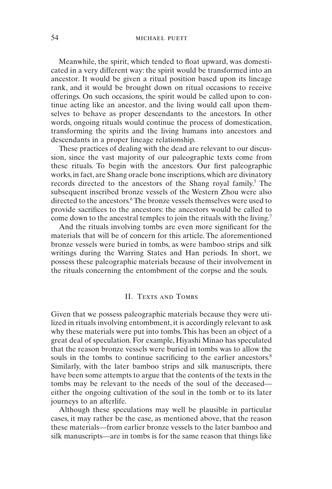Meanwhile, the spirit, which tended to float upward, was domesticated in a very different way: the spirit would be transformed into an ancestor. It would be given a ritual position based upon its lineage rank, and it would be brought down on ritual occasions to receive offerings. On such occasions, the spirit would be called upon to continue acting like an ancestor, and the living would call upon themselves to behave as proper descendants to the ancestors. In other words, ongoing rituals would continue the process of domestication, transforming the spirits and the living humans into ancestors and descendants in a proper lineage relationship.

These practices of dealing with the dead are relevant to our discussion, since the vast majority of our paleographic texts come from these rituals. To begin with the ancestors. Our first paleographic works, in fact, are Shang oracle bone inscriptions, which are divinatory records directed to the ancestors of the Shang royal family.<sup>5</sup> The subsequent inscribed bronze vessels of the Western Zhou were also directed to the ancestors.<sup>6</sup>The bronze vessels themselves were used to provide sacrifices to the ancestors: the ancestors would be called to come down to the ancestral temples to join the rituals with the living.<sup>7</sup>

And the rituals involving tombs are even more significant for the materials that will be of concern for this article. The aforementioned bronze vessels were buried in tombs, as were bamboo strips and silk writings during the Warring States and Han periods. In short, we possess these paleographic materials because of their involvement in the rituals concerning the entombment of the corpse and the souls.

# II. TEXTS AND TOMBS

Given that we possess paleographic materials because they were utilized in rituals involving entombment, it is accordingly relevant to ask why these materials were put into tombs. This has been an object of a great deal of speculation. For example, Hiyashi Minao has speculated that the reason bronze vessels were buried in tombs was to allow the souls in the tombs to continue sacrificing to the earlier ancestors.<sup>8</sup> Similarly, with the later bamboo strips and silk manuscripts, there have been some attempts to argue that the contents of the texts in the tombs may be relevant to the needs of the soul of the deceased either the ongoing cultivation of the soul in the tomb or to its later journeys to an afterlife.

Although these speculations may well be plausible in particular cases, it may rather be the case, as mentioned above, that the reason these materials—from earlier bronze vessels to the later bamboo and silk manuscripts—are in tombs is for the same reason that things like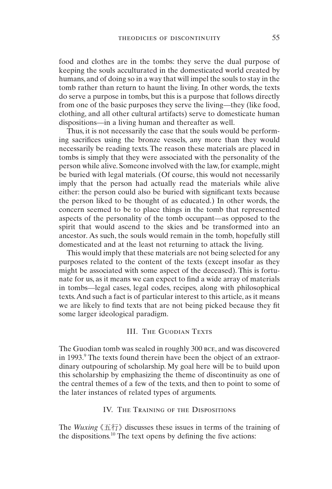food and clothes are in the tombs: they serve the dual purpose of keeping the souls acculturated in the domesticated world created by humans, and of doing so in a way that will impel the souls to stay in the tomb rather than return to haunt the living. In other words, the texts do serve a purpose in tombs, but this is a purpose that follows directly from one of the basic purposes they serve the living—they (like food, clothing, and all other cultural artifacts) serve to domesticate human dispositions—in a living human and thereafter as well.

Thus, it is not necessarily the case that the souls would be performing sacrifices using the bronze vessels, any more than they would necessarily be reading texts. The reason these materials are placed in tombs is simply that they were associated with the personality of the person while alive. Someone involved with the law, for example, might be buried with legal materials. (Of course, this would not necessarily imply that the person had actually read the materials while alive either: the person could also be buried with significant texts because the person liked to be thought of as educated.) In other words, the concern seemed to be to place things in the tomb that represented aspects of the personality of the tomb occupant—as opposed to the spirit that would ascend to the skies and be transformed into an ancestor. As such, the souls would remain in the tomb, hopefully still domesticated and at the least not returning to attack the living.

This would imply that these materials are not being selected for any purposes related to the content of the texts (except insofar as they might be associated with some aspect of the deceased). This is fortunate for us, as it means we can expect to find a wide array of materials in tombs—legal cases, legal codes, recipes, along with philosophical texts.And such a fact is of particular interest to this article, as it means we are likely to find texts that are not being picked because they fit some larger ideological paradigm.

# III. The Guodian Texts

The Guodian tomb was sealed in roughly 300 bce, and was discovered in 1993.<sup>9</sup> The texts found therein have been the object of an extraordinary outpouring of scholarship. My goal here will be to build upon this scholarship by emphasizing the theme of discontinuity as one of the central themes of a few of the texts, and then to point to some of the later instances of related types of arguments.

## IV. The Training of the Dispositions

The *Wuxing*  $\langle \overline{H} \overline{\langle} \overline{\langle} \rangle \rangle$  discusses these issues in terms of the training of the dispositions.10 The text opens by defining the five actions: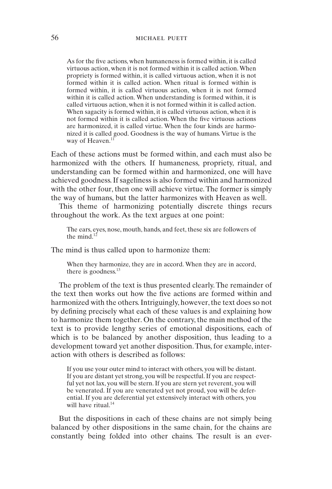As for the five actions, when humaneness is formed within, it is called virtuous action, when it is not formed within it is called action. When propriety is formed within, it is called virtuous action, when it is not formed within it is called action. When ritual is formed within is formed within, it is called virtuous action, when it is not formed within it is called action. When understanding is formed within, it is called virtuous action, when it is not formed within it is called action. When sagacity is formed within, it is called virtuous action, when it is not formed within it is called action. When the five virtuous actions are harmonized, it is called virtue. When the four kinds are harmonized it is called good. Goodness is the way of humans. Virtue is the way of Heaven.<sup>11</sup>

Each of these actions must be formed within, and each must also be harmonized with the others. If humaneness, propriety, ritual, and understanding can be formed within and harmonized, one will have achieved goodness. If sageliness is also formed within and harmonized with the other four, then one will achieve virtue. The former is simply the way of humans, but the latter harmonizes with Heaven as well.

This theme of harmonizing potentially discrete things recurs throughout the work. As the text argues at one point:

The ears, eyes, nose, mouth, hands, and feet, these six are followers of the mind. $12$ 

The mind is thus called upon to harmonize them:

When they harmonize, they are in accord. When they are in accord, there is goodness.<sup>13</sup>

The problem of the text is thus presented clearly. The remainder of the text then works out how the five actions are formed within and harmonized with the others. Intriguingly, however, the text does so not by defining precisely what each of these values is and explaining how to harmonize them together. On the contrary, the main method of the text is to provide lengthy series of emotional dispositions, each of which is to be balanced by another disposition, thus leading to a development toward yet another disposition.Thus, for example, interaction with others is described as follows:

If you use your outer mind to interact with others, you will be distant. If you are distant yet strong, you will be respectful. If you are respectful yet not lax, you will be stern. If you are stern yet reverent, you will be venerated. If you are venerated yet not proud, you will be deferential. If you are deferential yet extensively interact with others, you will have ritual.<sup>14</sup>

But the dispositions in each of these chains are not simply being balanced by other dispositions in the same chain, for the chains are constantly being folded into other chains. The result is an ever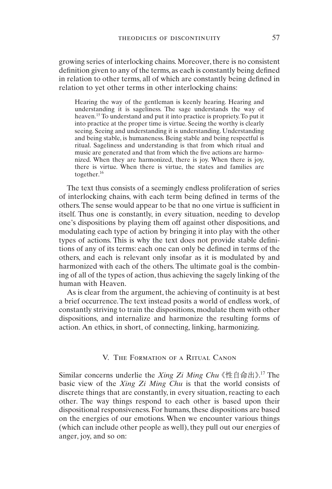growing series of interlocking chains. Moreover, there is no consistent definition given to any of the terms, as each is constantly being defined in relation to other terms, all of which are constantly being defined in relation to yet other terms in other interlocking chains:

Hearing the way of the gentleman is keenly hearing. Hearing and understanding it is sageliness. The sage understands the way of heaven.15 To understand and put it into practice is propriety. To put it into practice at the proper time is virtue. Seeing the worthy is clearly seeing. Seeing and understanding it is understanding. Understanding and being stable, is humaneness. Being stable and being respectful is ritual. Sageliness and understanding is that from which ritual and music are generated and that from which the five actions are harmonized. When they are harmonized, there is joy. When there is joy, there is virtue. When there is virtue, the states and families are together.16

The text thus consists of a seemingly endless proliferation of series of interlocking chains, with each term being defined in terms of the others.The sense would appear to be that no one virtue is sufficient in itself. Thus one is constantly, in every situation, needing to develop one's dispositions by playing them off against other dispositions, and modulating each type of action by bringing it into play with the other types of actions. This is why the text does not provide stable definitions of any of its terms: each one can only be defined in terms of the others, and each is relevant only insofar as it is modulated by and harmonized with each of the others. The ultimate goal is the combining of all of the types of action, thus achieving the sagely linking of the human with Heaven.

As is clear from the argument, the achieving of continuity is at best a brief occurrence. The text instead posits a world of endless work, of constantly striving to train the dispositions, modulate them with other dispositions, and internalize and harmonize the resulting forms of action. An ethics, in short, of connecting, linking, harmonizing.

# V. The Formation of a Ritual Canon

Similar concerns underlie the *Xing Zi Ming Chu* 《性自命出》.<sup>17</sup> The basic view of the *Xing Zi Ming Chu* is that the world consists of discrete things that are constantly, in every situation, reacting to each other. The way things respond to each other is based upon their dispositional responsiveness. For humans, these dispositions are based on the energies of our emotions. When we encounter various things (which can include other people as well), they pull out our energies of anger, joy, and so on: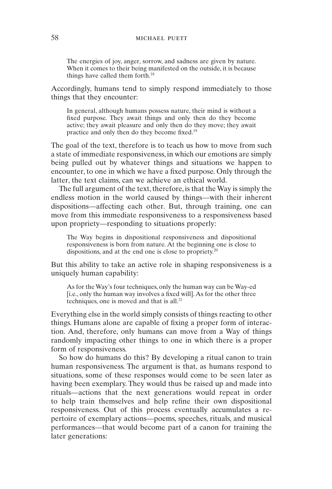The energies of joy, anger, sorrow, and sadness are given by nature. When it comes to their being manifested on the outside, it is because things have called them forth.<sup>18</sup>

Accordingly, humans tend to simply respond immediately to those things that they encounter:

In general, although humans possess nature, their mind is without a fixed purpose. They await things and only then do they become active; they await pleasure and only then do they move; they await practice and only then do they become fixed.19

The goal of the text, therefore is to teach us how to move from such a state of immediate responsiveness, in which our emotions are simply being pulled out by whatever things and situations we happen to encounter, to one in which we have a fixed purpose. Only through the latter, the text claims, can we achieve an ethical world.

The full argument of the text, therefore, is that the Way is simply the endless motion in the world caused by things—with their inherent dispositions—affecting each other. But, through training, one can move from this immediate responsiveness to a responsiveness based upon propriety—responding to situations properly:

The Way begins in dispositional responsiveness and dispositional responsiveness is born from nature. At the beginning one is close to dispositions, and at the end one is close to propriety.20

But this ability to take an active role in shaping responsiveness is a uniquely human capability:

As for the Way's four techniques, only the human way can be Way-ed [i.e., only the human way involves a fixed will]. As for the other three techniques, one is moved and that is all.<sup>21</sup>

Everything else in the world simply consists of things reacting to other things. Humans alone are capable of fixing a proper form of interaction. And, therefore, only humans can move from a Way of things randomly impacting other things to one in which there is a proper form of responsiveness.

So how do humans do this? By developing a ritual canon to train human responsiveness. The argument is that, as humans respond to situations, some of these responses would come to be seen later as having been exemplary. They would thus be raised up and made into rituals—actions that the next generations would repeat in order to help train themselves and help refine their own dispositional responsiveness. Out of this process eventually accumulates a repertoire of exemplary actions—poems, speeches, rituals, and musical performances—that would become part of a canon for training the later generations: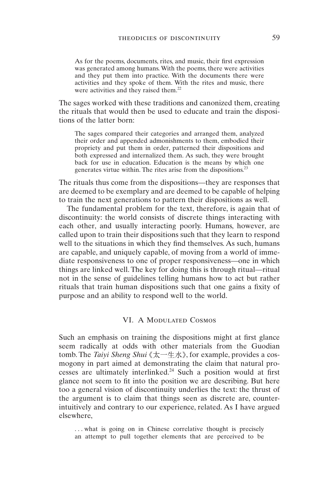As for the poems, documents, rites, and music, their first expression was generated among humans. With the poems, there were activities and they put them into practice. With the documents there were activities and they spoke of them. With the rites and music, there were activities and they raised them.<sup>22</sup>

The sages worked with these traditions and canonized them, creating the rituals that would then be used to educate and train the dispositions of the latter born:

The sages compared their categories and arranged them, analyzed their order and appended admonishments to them, embodied their propriety and put them in order, patterned their dispositions and both expressed and internalized them. As such, they were brought back for use in education. Education is the means by which one generates virtue within. The rites arise from the dispositions.23

The rituals thus come from the dispositions—they are responses that are deemed to be exemplary and are deemed to be capable of helping to train the next generations to pattern their dispositions as well.

The fundamental problem for the text, therefore, is again that of discontinuity: the world consists of discrete things interacting with each other, and usually interacting poorly. Humans, however, are called upon to train their dispositions such that they learn to respond well to the situations in which they find themselves. As such, humans are capable, and uniquely capable, of moving from a world of immediate responsiveness to one of proper responsiveness—one in which things are linked well. The key for doing this is through ritual—ritual not in the sense of guidelines telling humans how to act but rather rituals that train human dispositions such that one gains a fixity of purpose and an ability to respond well to the world.

# VI. A MODULATED COSMOS

Such an emphasis on training the dispositions might at first glance seem radically at odds with other materials from the Guodian tomb. The *Taiyi Sheng Shui* 《太一生水》, for example, provides a cosmogony in part aimed at demonstrating the claim that natural processes are ultimately interlinked.24 Such a position would at first glance not seem to fit into the position we are describing. But here too a general vision of discontinuity underlies the text: the thrust of the argument is to claim that things seen as discrete are, counterintuitively and contrary to our experience, related. As I have argued elsewhere,

. . . what is going on in Chinese correlative thought is precisely an attempt to pull together elements that are perceived to be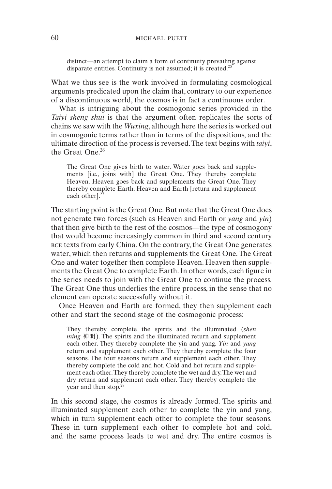distinct—an attempt to claim a form of continuity prevailing against disparate entities. Continuity is not assumed; it is created.<sup>25</sup>

What we thus see is the work involved in formulating cosmological arguments predicated upon the claim that, contrary to our experience of a discontinuous world, the cosmos is in fact a continuous order.

What is intriguing about the cosmogonic series provided in the *Taiyi sheng shui* is that the argument often replicates the sorts of chains we saw with the *Wuxing*, although here the series is worked out in cosmogonic terms rather than in terms of the dispositions, and the ultimate direction of the process is reversed.The text begins with *taiyi*, the Great One. $26$ 

The Great One gives birth to water. Water goes back and supplements [i.e., joins with] the Great One. They thereby complete Heaven. Heaven goes back and supplements the Great One. They thereby complete Earth. Heaven and Earth [return and supplement each other].<sup>2</sup>

The starting point is the Great One. But note that the Great One does not generate two forces (such as Heaven and Earth or *yang* and *yin*) that then give birth to the rest of the cosmos—the type of cosmogony that would become increasingly common in third and second century bce texts from early China. On the contrary, the Great One generates water, which then returns and supplements the Great One. The Great One and water together then complete Heaven. Heaven then supplements the Great One to complete Earth. In other words, each figure in the series needs to join with the Great One to continue the process. The Great One thus underlies the entire process, in the sense that no element can operate successfully without it.

Once Heaven and Earth are formed, they then supplement each other and start the second stage of the cosmogonic process:

They thereby complete the spirits and the illuminated (*shen ming* 神明). The spirits and the illuminated return and supplement each other. They thereby complete the yin and yang. *Yin* and *yang* return and supplement each other. They thereby complete the four seasons. The four seasons return and supplement each other. They thereby complete the cold and hot. Cold and hot return and supplement each other.They thereby complete the wet and dry.The wet and dry return and supplement each other. They thereby complete the year and then stop.<sup>28</sup>

In this second stage, the cosmos is already formed. The spirits and illuminated supplement each other to complete the yin and yang, which in turn supplement each other to complete the four seasons. These in turn supplement each other to complete hot and cold, and the same process leads to wet and dry. The entire cosmos is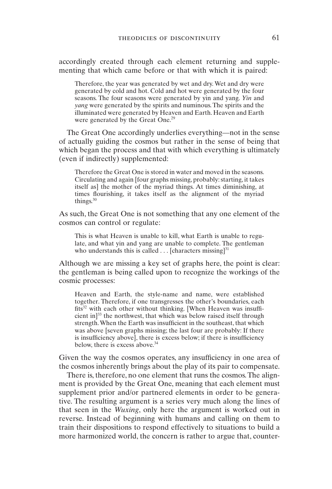accordingly created through each element returning and supplementing that which came before or that with which it is paired:

Therefore, the year was generated by wet and dry. Wet and dry were generated by cold and hot. Cold and hot were generated by the four seasons. The four seasons were generated by yin and yang. *Yin* and *yang* were generated by the spirits and numinous. The spirits and the illuminated were generated by Heaven and Earth. Heaven and Earth were generated by the Great One.<sup>29</sup>

The Great One accordingly underlies everything—not in the sense of actually guiding the cosmos but rather in the sense of being that which began the process and that with which everything is ultimately (even if indirectly) supplemented:

Therefore the Great One is stored in water and moved in the seasons. Circulating and again [four graphs missing, probably: starting, it takes itself as] the mother of the myriad things. At times diminishing, at times flourishing, it takes itself as the alignment of the myriad things.30

As such, the Great One is not something that any one element of the cosmos can control or regulate:

This is what Heaven is unable to kill, what Earth is unable to regulate, and what yin and yang are unable to complete. The gentleman who understands this is called  $\dots$  [characters missing]<sup>31</sup>

Although we are missing a key set of graphs here, the point is clear: the gentleman is being called upon to recognize the workings of the cosmic processes:

Heaven and Earth, the style-name and name, were established together. Therefore, if one transgresses the other's boundaries, each  $fits<sup>32</sup>$  with each other without thinking. [When Heaven was insufficient in]<sup>33</sup> the northwest, that which was below raised itself through strength.When the Earth was insufficient in the southeast, that which was above [seven graphs missing; the last four are probably: If there is insufficiency above], there is excess below; if there is insufficiency below, there is excess above.<sup>34</sup>

Given the way the cosmos operates, any insufficiency in one area of the cosmos inherently brings about the play of its pair to compensate.

There is, therefore, no one element that runs the cosmos. The alignment is provided by the Great One, meaning that each element must supplement prior and/or partnered elements in order to be generative. The resulting argument is a series very much along the lines of that seen in the *Wuxing*, only here the argument is worked out in reverse. Instead of beginning with humans and calling on them to train their dispositions to respond effectively to situations to build a more harmonized world, the concern is rather to argue that, counter-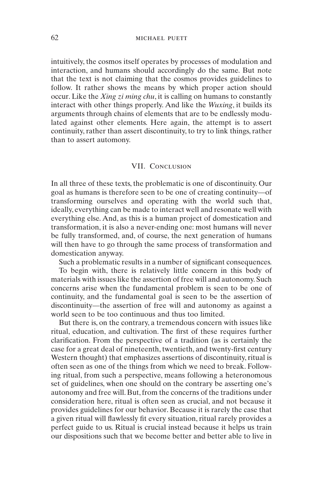intuitively, the cosmos itself operates by processes of modulation and interaction, and humans should accordingly do the same. But note that the text is not claiming that the cosmos provides guidelines to follow. It rather shows the means by which proper action should occur. Like the *Xing zi ming chu*, it is calling on humans to constantly interact with other things properly. And like the *Wuxing*, it builds its arguments through chains of elements that are to be endlessly modulated against other elements. Here again, the attempt is to assert continuity, rather than assert discontinuity, to try to link things, rather than to assert automony.

### VII. Conclusion

In all three of these texts, the problematic is one of discontinuity. Our goal as humans is therefore seen to be one of creating continuity—of transforming ourselves and operating with the world such that, ideally, everything can be made to interact well and resonate well with everything else. And, as this is a human project of domestication and transformation, it is also a never-ending one: most humans will never be fully transformed, and, of course, the next generation of humans will then have to go through the same process of transformation and domestication anyway.

Such a problematic results in a number of significant consequences. To begin with, there is relatively little concern in this body of materials with issues like the assertion of free will and autonomy. Such concerns arise when the fundamental problem is seen to be one of

continuity, and the fundamental goal is seen to be the assertion of discontinuity—the assertion of free will and autonomy as against a world seen to be too continuous and thus too limited.

But there is, on the contrary, a tremendous concern with issues like ritual, education, and cultivation. The first of these requires further clarification. From the perspective of a tradition (as is certainly the case for a great deal of nineteenth, twentieth, and twenty-first century Western thought) that emphasizes assertions of discontinuity, ritual is often seen as one of the things from which we need to break. Following ritual, from such a perspective, means following a heteronomous set of guidelines, when one should on the contrary be asserting one's autonomy and free will. But, from the concerns of the traditions under consideration here, ritual is often seen as crucial, and not because it provides guidelines for our behavior. Because it is rarely the case that a given ritual will flawlessly fit every situation, ritual rarely provides a perfect guide to us. Ritual is crucial instead because it helps us train our dispositions such that we become better and better able to live in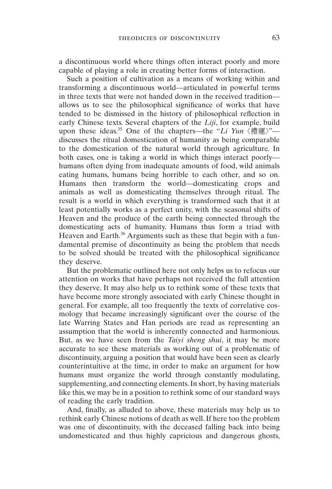a discontinuous world where things often interact poorly and more capable of playing a role in creating better forms of interaction.

Such a position of cultivation as a means of working within and transforming a discontinuous world—articulated in powerful terms in three texts that were not handed down in the received tradition allows us to see the philosophical significance of works that have tended to be dismissed in the history of philosophical reflection in early Chinese texts. Several chapters of the *Liji*, for example, build upon these ideas.<sup>35</sup> One of the chapters—the "*Li Yun* 〈禮運〉" discusses the ritual domestication of humanity as being comparable to the domestication of the natural world through agriculture. In both cases, one is taking a world in which things interact poorly humans often dying from inadequate amounts of food, wild animals eating humans, humans being horrible to each other, and so on. Humans then transform the world—domesticating crops and animals as well as domesticating themselves through ritual. The result is a world in which everything is transformed such that it at least potentially works as a perfect unity, with the seasonal shifts of Heaven and the produce of the earth being connected through the domesticating acts of humanity. Humans thus form a triad with Heaven and Earth.<sup>36</sup> Arguments such as these that begin with a fundamental premise of discontinuity as being the problem that needs to be solved should be treated with the philosophical significance they deserve.

But the problematic outlined here not only helps us to refocus our attention on works that have perhaps not received the full attention they deserve. It may also help us to rethink some of these texts that have become more strongly associated with early Chinese thought in general. For example, all too frequently the texts of correlative cosmology that became increasingly significant over the course of the late Warring States and Han periods are read as representing an assumption that the world is inherently connected and harmonious. But, as we have seen from the *Taiyi sheng shui*, it may be more accurate to see these materials as working out of a problematic of discontinuity, arguing a position that would have been seen as clearly counterintuitive at the time, in order to make an argument for how humans must organize the world through constantly modulating, supplementing, and connecting elements. In short, by having materials like this, we may be in a position to rethink some of our standard ways of reading the early tradition.

And, finally, as alluded to above, these materials may help us to rethink early Chinese notions of death as well. If here too the problem was one of discontinuity, with the deceased falling back into being undomesticated and thus highly capricious and dangerous ghosts,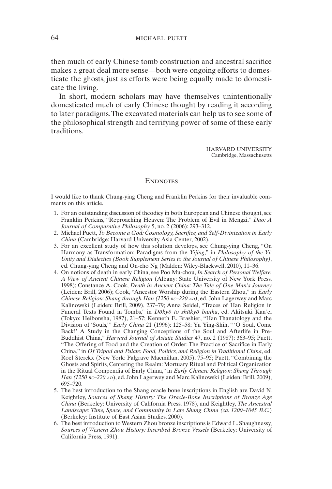then much of early Chinese tomb construction and ancestral sacrifice makes a great deal more sense—both were ongoing efforts to domesticate the ghosts, just as efforts were being equally made to domesticate the living.

In short, modern scholars may have themselves unintentionally domesticated much of early Chinese thought by reading it according to later paradigms.The excavated materials can help us to see some of the philosophical strength and terrifying power of some of these early traditions.

> HARVARD UNIVERSITY Cambridge, Massachusetts

### **ENDNOTES**

I would like to thank Chung-ying Cheng and Franklin Perkins for their invaluable comments on this article.

- 1. For an outstanding discussion of theodicy in both European and Chinese thought, see Franklin Perkins, "Reproaching Heaven: The Problem of Evil in Mengzi," *Dao: A Journal of Comparative Philosophy* 5, no. 2 (2006): 293–312.
- 2. Michael Puett,*To Become a God: Cosmology, Sacrifice, and Self-Divinization in Early China* (Cambridge: Harvard University Asia Center, 2002).
- 3. For an excellent study of how this solution develops, see Chung-ying Cheng, "On Harmony as Transformation: Paradigms from the *Yijing*," in *Philosophy of the Yi: Unity and Dialectics (Book Supplement Series to the Journal of Chinese Philosophy)*, ed. Chung-ying Cheng and On-cho Ng (Malden: Wiley-Blackwell, 2010), 11–36.
- 4. On notions of death in early China, see Poo Mu-chou, *In Search of Personal Welfare. A View of Ancient Chinese Religion* (Albany: State University of New York Press, 1998); Constance A. Cook, *Death in Ancient China: The Tale of One Man's Journey* (Leiden: Brill, 2006); Cook, "Ancestor Worship during the Eastern Zhou," in *Early Chinese Religion: Shang through Han (1250 BC–220 AD)*, ed. John Lagerwey and Marc Kalinowski (Leiden: Brill, 2009), 237–79; Anna Seidel, "Traces of Han Religion in Funeral Texts Found in Tombs," in *Dôkyô to shûkyô bunka*, ed. Akitsuki Kan'ei (Tokyo: Heibonsha, 1987), 21–57; Kenneth E. Brashier, "Han Thanatology and the Division of 'Souls,'" *Early China* 21 (1996): 125–58; Yu Ying-Shih, " 'O Soul, Come Back!' A Study in the Changing Conceptions of the Soul and Afterlife in Pre-Buddhist China," *Harvard Journal of Asiatic Studies* 47, no. 2 (1987): 363–95; Puett, "The Offering of Food and the Creation of Order: The Practice of Sacrifice in Early China," in *Of Tripod and Palate: Food, Politics, and Religion in Traditional China*, ed. Roel Sterckx (New York: Palgrave Macmillan, 2005), 75–95; Puett, "Combining the Ghosts and Spirits, Centering the Realm: Mortuary Ritual and Political Organization in the Ritual Compendia of Early China," in *Early Chinese Religion: Shang Through Han (1250 BC–220 AD*), ed. John Lagerwey and Marc Kalinowski (Leiden: Brill, 2009), 695–720.
- 5. The best introduction to the Shang oracle bone inscriptions in English are David N. Keightley, *Sources of Shang History: The Oracle-Bone Inscriptions of Bronze Age China* (Berkeley: University of California Press, 1978), and Keightley, *The Ancestral Landscape: Time, Space, and Community in Late Shang China (ca. 1200–1045 B.C.*) (Berkeley: Institute of East Asian Studies, 2000).
- 6. The best introduction to Western Zhou bronze inscriptions is Edward L. Shaughnessy, *Sources of Western Zhou History: Inscribed Bronze Vessels* (Berkeley: University of California Press, 1991).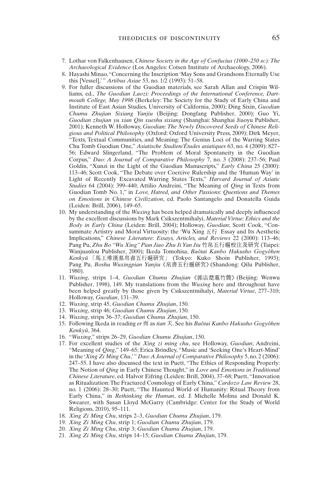- 7. Lothar von Falkenhausen, *Chinese Society in the Age of Confucius (1000–250 BC): The Archaeological Evidence* (Los Angeles: Cotsen Institute of Archaeology, 2006).
- 8. Hayashi Minao,"Concerning the Inscription 'May Sons and Grandsons Eternally Use this [Vessel],' " *Artibus Asiae* 53, no. 1/2 (1993): 51–58.
- 9. For fuller discussions of the Guodian materials, see Sarah Allan and Crispin Williams, ed., *The Guodian Laozi: Proceedings of the International Conference, Dartmouth College, May 1998* (Berkeley: The Society for the Study of Early China and Institute of East Asian Studies, University of California, 2000); Ding Sixin, *Guodian Chumu Zhujian Sixiang Yanjiu* (Beijing: Dongfang Publisher, 2000); Guo Yi, *Guodian zhujian yu xian Qin xueshu sixiang* (Shanghai: Shanghai Jiaoyu Publisher, 2001); Kenneth W. Holloway, *Guodian: The Newly Discovered Seeds of Chinese Religious and Political Philosophy* (Oxford: Oxford University Press, 2009); Dirk Meyer, "Texts, Textual Communities, and Meaning: The Genius Loci of the Warring States Chu Tomb Guodian One," *Asiatische Studien/Études asiatiques* 63, no. 4 (2009): 827– 56; Edward Slingerland, "The Problem of Moral Spontaneity in the Guodian Corpus," *Dao: A Journal of Comparative Philosophy* 7, no. 3 (2008): 237–56; Paul Goldin, "Xunzi in the Light of the Guodian Manuscripts," *Early China* 25 (2000): 113–46; Scott Cook, "The Debate over Coercive Rulership and the 'Human Way' in Light of Recently Excavated Warring States Texts," *Harvard Journal of Asiatic Studies* 64 (2004): 399–440; Attilio Andreini, "The Meaning of *Qing* in Texts from Guodian Tomb No. 1," in *Love, Hatred, and Other Passions: Questions and Themes on Emotions in Chinese Civilization*, ed. Paolo Santangelo and Donatella Guida (Leiden: Brill, 2006), 149–65.
- 10. My understanding of the *Wuxing* has been helped dramatically and deeply influenced by the excellent discussions by Mark Csikszentmihalyi, *Material Virtue: Ethics and the Body in Early China* (Leiden: Brill, 2004); Holloway, *Guodian*; Scott Cook, "Consummate Artistry and Moral Virtuosity: the 'Wu Xing 五行 Essay and Its Aesthetic Implications," *Chinese Literature: Essays, Articles, and Reviews* 22 (2000): 113–46; Pang Pu, *Zhu Bo* "Wu Xing" Pian Jiao Zhu Ji Yan Jiu 竹帛五行遍校注及研究 (Taipei: Wanjuanlou Publisher, 2000); Ikeda Tomohisa, *Baôtai Kanbo Hakusho Gogyôhen* Kenkyû 「馬王堆漢墓帛書五行遍研究」 (Tokyo: Kuko Shoin Publisher, 1993); Pang Pu, *Boshu Wuxingpian Yanjiu* 《帛書五行遍研究》 (Shandong: Qilu Publisher, 1980).
- 11. Wuxing, strips 1–4, *Guodian Chumu Zhujian* 《郭店楚墓竹簡》 (Beijing: Wenwu Publisher, 1998), 149. My translations from the *Wuxing* here and throughout have been helped greatly by those given by Csikszentmihalyi, *Material Virtue*, 277–310; Holloway, *Guodian*, 131–39.
- 12. *Wuxing*, strip 45, *Guodian Chumu Zhujian*, 150.
- 13. *Wuxing*, strip 46; *Guodian Chumu Zhujian*, 150.
- 14. *Wuxing*, strips 36–37; *Guodian Chumu Zhujian*, 150.
- 15. Following Ikeda in reading er 而 as tian 天. See his *Baôtai Kanbo Hakusho Gogyôhen Kenkyû*, 364.
- 16. "*Wuxing*," strips 26–29, *Guodian Chumu Zhujian*, 150.
- 17. For excellent studies of the *Xing zi ming chu*, see Holloway, *Guodian*; Andreini, "Meaning of *Qing*," 149–65; Erica Brindley, "Music and 'Seeking One's Heart-Mind' in the '*Xing Zi Ming Chu*,' " *Dao:A Journal of Comparative Philosophy* 5, no. 2 (2006): 247–55. I have also discussed the text in Puett, "The Ethics of Responding Properly: The Notion of *Qing* in Early Chinese Thought," in *Love and Emotions in Traditional Chinese Literature*, ed. Halvor Eifring (Leiden: Brill, 2004), 37–68; Puett, "Innovation as Ritualization:The Fractured Cosmology of Early China," *Cardozo Law Review* 28, no. 1 (2006): 28–30; Puett, "The Haunted World of Humanity: Ritual Theory from Early China," in *Rethinking the Human*, ed. J. Michelle Molina and Donald K. Swearer, with Susan Lloyd McGarry (Cambridge: Center for the Study of World Religions, 2010), 95–111.
- 18. *Xing Zi Ming Chu*, strips 2–3, *Guodian Chumu Zhujian*, 179.
- 19. *Xing Zi Ming Chu*, strip 1; *Guodian Chumu Zhujian*, 179.
- 20. *Xing Zi Ming Chu*, strip 3; *Guodian Chumu Zhujian*, 179.
- 21. *Xing Zi Ming Chu*, strips 14–15; *Guodian Chumu Zhujian*, 179.